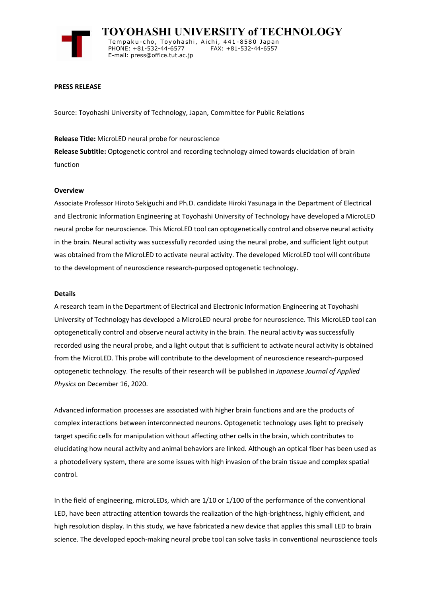

 **TOYOHASHI UNIVERSITY of TECHNOLOGY** Temp a k u-c h o , To y oh a shi , A i ch i , 4 41-858 0 Ja p an PHONE: +81-532-44-6577 E-mail: press@office.tut.ac.jp

### **PRESS RELEASE**

Source: Toyohashi University of Technology, Japan, Committee for Public Relations

### **Release Title:** MicroLED neural probe for neuroscience

**Release Subtitle:** Optogenetic control and recording technology aimed towards elucidation of brain function

### **Overview**

Associate Professor Hiroto Sekiguchi and Ph.D. candidate Hiroki Yasunaga in the Department of Electrical and Electronic Information Engineering at Toyohashi University of Technology have developed a MicroLED neural probe for neuroscience. This MicroLED tool can optogenetically control and observe neural activity in the brain. Neural activity was successfully recorded using the neural probe, and sufficient light output was obtained from the MicroLED to activate neural activity. The developed MicroLED tool will contribute to the development of neuroscience research-purposed optogenetic technology.

### **Details**

A research team in the Department of Electrical and Electronic Information Engineering at Toyohashi University of Technology has developed a MicroLED neural probe for neuroscience. This MicroLED tool can optogenetically control and observe neural activity in the brain. The neural activity was successfully recorded using the neural probe, and a light output that is sufficient to activate neural activity is obtained from the MicroLED. This probe will contribute to the development of neuroscience research-purposed optogenetic technology. The results of their research will be published in *Japanese Journal of Applied Physics* on December 16, 2020.

Advanced information processes are associated with higher brain functions and are the products of complex interactions between interconnected neurons. Optogenetic technology uses light to precisely target specific cells for manipulation without affecting other cells in the brain, which contributes to elucidating how neural activity and animal behaviors are linked. Although an optical fiber has been used as a photodelivery system, there are some issues with high invasion of the brain tissue and complex spatial control.

In the field of engineering, microLEDs, which are 1/10 or 1/100 of the performance of the conventional LED, have been attracting attention towards the realization of the high-brightness, highly efficient, and high resolution display. In this study, we have fabricated a new device that applies this small LED to brain science. The developed epoch-making neural probe tool can solve tasks in conventional neuroscience tools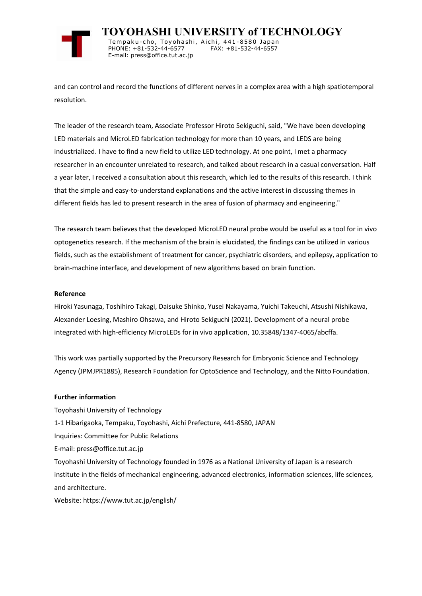

 **TOYOHASHI UNIVERSITY of TECHNOLOGY** Tempaku-cho, Toyohashi, Aichi, 441-8580 Japan<br>PHONE: +81-532-44-6577 FAX: +81-532-44-6557 PHONE: +81-532-44-6577

E-mail: press@office.tut.ac.jp

and can control and record the functions of different nerves in a complex area with a high spatiotemporal resolution.

The leader of the research team, Associate Professor Hiroto Sekiguchi, said, "We have been developing LED materials and MicroLED fabrication technology for more than 10 years, and LEDS are being industrialized. I have to find a new field to utilize LED technology. At one point, I met a pharmacy researcher in an encounter unrelated to research, and talked about research in a casual conversation. Half a year later, I received a consultation about this research, which led to the results of this research. I think that the simple and easy-to-understand explanations and the active interest in discussing themes in different fields has led to present research in the area of fusion of pharmacy and engineering."

The research team believes that the developed MicroLED neural probe would be useful as a tool for in vivo optogenetics research. If the mechanism of the brain is elucidated, the findings can be utilized in various fields, such as the establishment of treatment for cancer, psychiatric disorders, and epilepsy, application to brain-machine interface, and development of new algorithms based on brain function.

# **Reference**

Hiroki Yasunaga, Toshihiro Takagi, Daisuke Shinko, Yusei Nakayama, Yuichi Takeuchi, Atsushi Nishikawa, Alexander Loesing, Mashiro Ohsawa, and Hiroto Sekiguchi (2021). Development of a neural probe integrated with high-efficiency MicroLEDs for in vivo application, 10.35848/1347-4065/abcffa.

This work was partially supported by the Precursory Research for Embryonic Science and Technology Agency (JPMJPR1885), Research Foundation for OptoScience and Technology, and the Nitto Foundation.

# **Further information**

Toyohashi University of Technology 1-1 Hibarigaoka, Tempaku, Toyohashi, Aichi Prefecture, 441-8580, JAPAN Inquiries: Committee for Public Relations E-mail: press@office.tut.ac.jp Toyohashi University of Technology founded in 1976 as a National University of Japan is a research institute in the fields of mechanical engineering, advanced electronics, information sciences, life sciences, and architecture. Website: https://www.tut.ac.jp/english/